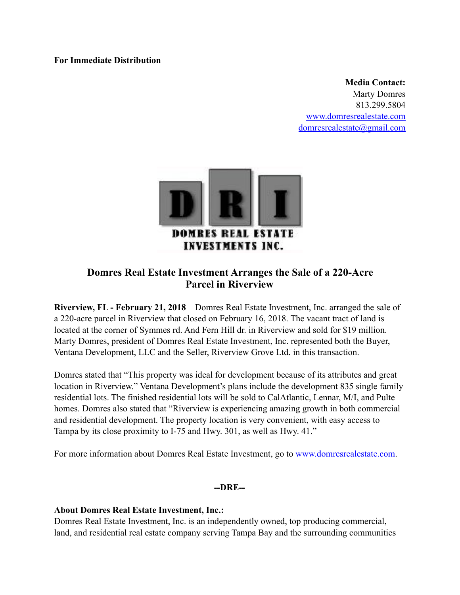## **For Immediate Distribution**

**Media Contact:**  Marty Domres 813.299.5804 [www.domresrealestate.com](http://www.domresrealestate.com) [domresrealestate@gmail.com](mailto:domresrealestate@gmail.com)



## **Domres Real Estate Investment Arranges the Sale of a 220-Acre Parcel in Riverview**

**Riverview, FL - February 21, 2018** – Domres Real Estate Investment, Inc. arranged the sale of a 220-acre parcel in Riverview that closed on February 16, 2018. The vacant tract of land is located at the corner of Symmes rd. And Fern Hill dr. in Riverview and sold for \$19 million. Marty Domres, president of Domres Real Estate Investment, Inc. represented both the Buyer, Ventana Development, LLC and the Seller, Riverview Grove Ltd. in this transaction.

Domres stated that "This property was ideal for development because of its attributes and great location in Riverview." Ventana Development's plans include the development 835 single family residential lots. The finished residential lots will be sold to CalAtlantic, Lennar, M/I, and Pulte homes. Domres also stated that "Riverview is experiencing amazing growth in both commercial and residential development. The property location is very convenient, with easy access to Tampa by its close proximity to I-75 and Hwy. 301, as well as Hwy. 41."

For more information about Domres Real Estate Investment, go to [www.domresrealestate.com](http://www.domresrealestate.com).

**--DRE--** 

## **About Domres Real Estate Investment, Inc.:**

Domres Real Estate Investment, Inc. is an independently owned, top producing commercial, land, and residential real estate company serving Tampa Bay and the surrounding communities